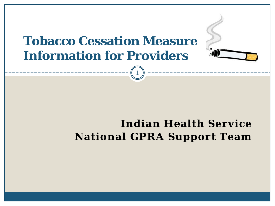### **Tobacco Cessation Measure Information for Providers**

1



#### **Indian Health Service National GPRA Support Team**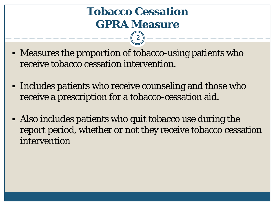### **Tobacco Cessation GPRA Measure**

- Measures the proportion of tobacco-using patients who receive tobacco cessation intervention.
- Includes patients who receive counseling and those who receive a prescription for a tobacco-cessation aid.
- Also includes patients who quit tobacco use during the report period, whether or not they receive tobacco cessation intervention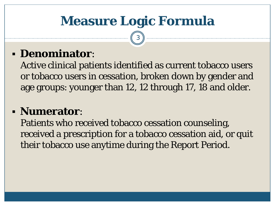# **Measure Logic Formula**

3

#### **Denominator**:

Active clinical patients identified as current tobacco users or tobacco users in cessation, broken down by gender and age groups: younger than 12, 12 through 17, 18 and older.

#### **Numerator**:

Patients who received tobacco cessation counseling, received a prescription for a tobacco cessation aid, or quit their tobacco use anytime during the Report Period.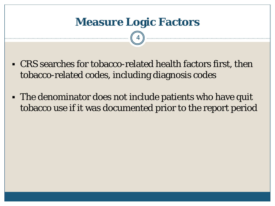- CRS searches for tobacco-related health factors first, then tobacco-related codes, including diagnosis codes
- The denominator does not include patients who have quit tobacco use if it was documented prior to the report period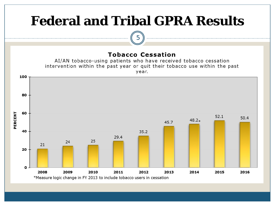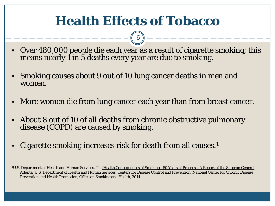## **Health Effects of Tobacco**

- Over 480,000 people die each year as a result of cigarette smoking; this means nearly 1 in 5 deaths every year are due to smoking.
- Smoking causes about 9 out of 10 lung cancer deaths in men and women.
- More women die from lung cancer each year than from breast cancer.
- About 8 out of 10 of all deaths from chronic obstructive pulmonary disease (COPD) are caused by smoking.
- Cigarette smoking increases risk for death from all causes.<sup>1</sup>

<sup>&</sup>lt;sup>1</sup>U.S. Department of Health and Human Services. The <u>Health Consequences of Smoking—50 Years of Progress: A Report of the Surgeon General</u>. Atlanta: U.S. Department of Health and Human Services, Centers for Disease Control and Prevention, National Center for Chronic Disease Prevention and Health Promotion, Office on Smoking and Health, 2014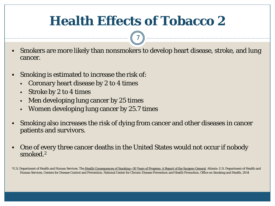# **Health Effects of Tobacco 2**

7

- Smokers are more likely than nonsmokers to develop heart disease, stroke, and lung cancer.
- Smoking is estimated to increase the risk of:
	- Coronary heart disease by 2 to 4 times
	- Stroke by 2 to 4 times
	- Men developing lung cancer by 25 times
	- Women developing lung cancer by 25.7 times
- Smoking also increases the risk of dying from cancer and other diseases in cancer patients and survivors.
- One of every three cancer deaths in the United States would not occur if nobody smoked.2

<sup>2</sup>U.S. Department of Health and Human Services. The [Health Consequences of Smoking—50 Years of Progress: A Report of the Surgeon General.](http://www.cdc.gov/tobacco/data_statistics/sgr/50th-anniversary/index.htm) Atlanta: U.S. Department of Health and Human Services, Centers for Disease Control and Prevention, National Center for Chronic Disease Prevention and Health Promotion, Office on Smoking and Health, 2014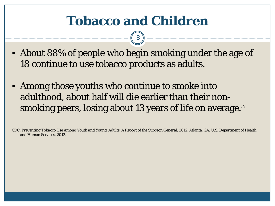# **Tobacco and Children**

8

- About 88% of people who begin smoking under the age of 18 continue to use tobacco products as adults.
- Among those youths who continue to smoke into adulthood, about half will die earlier than their nonsmoking peers, losing about 13 years of life on average.<sup>3</sup>

CDC. *Preventing Tobacco Use Among Youth and Young Adults, A Report of the Surgeon General, 2012*. Atlanta, GA: U.S. Department of Health and Human Services, 2012.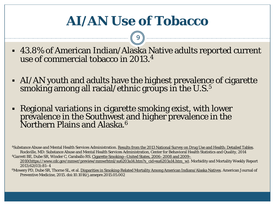# **AI/AN Use of Tobacco**

9

- 43.8% of American Indian/Alaska Native adults reported current use of commercial tobacco in 2013. 4
- AI/AN youth and adults have the highest prevalence of cigarette smoking among all racial/ethnic groups in the U.S. $^5$
- Regional variations in cigarette smoking exist, with lower prevalence in the Southwest and higher prevalence in the Northern Plains and Alaska.6

4Substance Abuse and Mental Health Services Administration. [Results from the 2013 National Survey on Drug Use and Health: Detailed Tables](http://www.samhsa.gov/data/sites/default/files/NSDUH-DetTabs2013/NSDUH-DetTabs2013.htm). Rockville, MD: Substance Abuse and Mental Health Services Administration, Center for Behavioral Health Statistics and Quality, 2014 4Garrett BE, Dube SR, Winder C, Caraballo RS. [Cigarette Smoking—United States, 2006–2008 and 2009–](https://www.cdc.gov/mmwr/preview/mmwrhtml/su6203a14.htm?s_cid=su6203a14.htm_w)

[2010\(https://www.cdc.gov/mmwr/preview/mmwrhtml/su6203a14.htm?s\\_cid=su6203a14.htm\\_w\).](https://www.cdc.gov/mmwr/preview/mmwrhtml/su6203a14.htm?s_cid=su6203a14.htm_w) Morbidity and Mortality Weekly Report 2013;62(03):81–4

6Mowery PD, Dube SR, Thorne SL, et al. [Disparities in Smoking-Related Mortality Among American Indians/Alaska Natives.](http://www.sciencedirect.com/science/article/pii/S0749379715002238) American Journal of Preventive Medicine, 2015. doi:10.1016/j.amepre.2015.05.002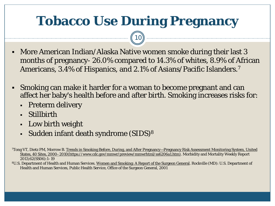# **Tobacco Use During Pregnancy**

- More American Indian/Alaska Native women smoke during their last 3 months of pregnancy- 26.0% compared to 14.3% of whites, 8.9% of African Americans, 3.4% of Hispanics, and 2.1% of Asians/Pacific Islanders.7
- Smoking can make it harder for a woman to become pregnant and can affect her baby's health before and after birth. Smoking increases risks for:
	- **Preterm delivery**
	- Stillbirth
	- Low birth weight
	- Sudden infant death syndrome (SIDS)<sup>8</sup>

*<sup>7</sup>*Tong VT, Dietz PM, Morrow B. [Trends in Smoking Before, During, and After Pregnancy—Pregnancy Risk Assessment Monitoring System, United](https://www.cdc.gov/mmwr/preview/mmwrhtml/ss6206a1.htm)  [States, 40 Sites, 2000–2010\(https://www.cdc.gov/mmwr/preview/mmwrhtml/ss6206a1.htm\)](https://www.cdc.gov/mmwr/preview/mmwrhtml/ss6206a1.htm). Morbidity and Mortality Weekly Report 2013;62(SS06):1–19

<sup>8</sup>U.S. Department of Health and Human Services. [Women and Smoking: A Report of the Surgeon General](http://www.cdc.gov/tobacco/data_statistics/sgr/2001/index.htm). Rockville (MD): U.S. Department of Health and Human Services, Public Health Service, Office of the Surgeon General, 2001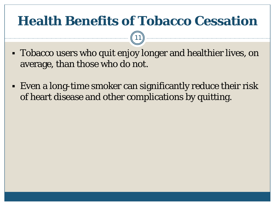# **Health Benefits of Tobacco Cessation**

- Tobacco users who quit enjoy longer and healthier lives, on average, than those who do not.
- Even a long-time smoker can significantly reduce their risk of heart disease and other complications by quitting.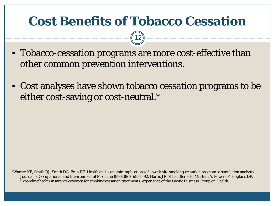## **Cost Benefits of Tobacco Cessation**

12

- Tobacco-cessation programs are more cost-effective than other common prevention interventions.
- Cost analyses have shown tobacco cessation programs to be either cost-saving or cost-neutral.<sup>9</sup>

9Warner KE, Smith RJ, Smith DG, Fries BE. Health and economic implications of a work-site smoking-cessation program: a simulation analysis. *Journal of Occupational and Environmental Medicine* 1996;38(10):981–92. Harris JR, Schauffler HH, Milstein A, Powers P, Hopkins DP. Expanding health insurance coverage for smoking cessation treatments: experience of the Pacific Business Group on Health.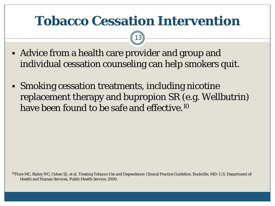## **Tobacco Cessation Intervention**

13

- Advice from a health care provider and group and individual cessation counseling can help smokers quit.
- Smoking cessation treatments, including nicotine replacement therapy and bupropion SR (e.g. Wellbutrin) have been found to be safe and effective.<sup>10</sup>

10Fiore MC, Bailey WC, Cohen SJ, et al. Treating Tobacco Use and Dependence: Clinical Practice Guideline. Rockville, MD: U.S. Department of Health and Human Services, Public Health Service; 2000.